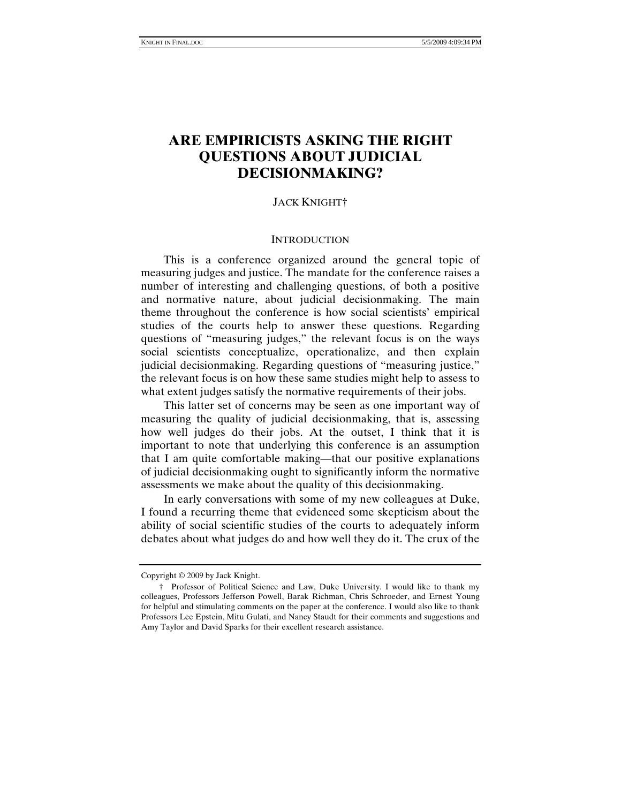# **ARE EMPIRICISTS ASKING THE RIGHT QUESTIONS ABOUT JUDICIAL DECISIONMAKING?**

### JACK KNIGHT†

#### **INTRODUCTION**

This is a conference organized around the general topic of measuring judges and justice. The mandate for the conference raises a number of interesting and challenging questions, of both a positive and normative nature, about judicial decisionmaking. The main theme throughout the conference is how social scientists' empirical studies of the courts help to answer these questions. Regarding questions of "measuring judges," the relevant focus is on the ways social scientists conceptualize, operationalize, and then explain judicial decisionmaking. Regarding questions of "measuring justice," the relevant focus is on how these same studies might help to assess to what extent judges satisfy the normative requirements of their jobs.

This latter set of concerns may be seen as one important way of measuring the quality of judicial decisionmaking, that is, assessing how well judges do their jobs. At the outset, I think that it is important to note that underlying this conference is an assumption that I am quite comfortable making—that our positive explanations of judicial decisionmaking ought to significantly inform the normative assessments we make about the quality of this decisionmaking.

In early conversations with some of my new colleagues at Duke, I found a recurring theme that evidenced some skepticism about the ability of social scientific studies of the courts to adequately inform debates about what judges do and how well they do it. The crux of the

Copyright © 2009 by Jack Knight.

 <sup>†</sup> Professor of Political Science and Law, Duke University. I would like to thank my colleagues, Professors Jefferson Powell, Barak Richman, Chris Schroeder, and Ernest Young for helpful and stimulating comments on the paper at the conference. I would also like to thank Professors Lee Epstein, Mitu Gulati, and Nancy Staudt for their comments and suggestions and Amy Taylor and David Sparks for their excellent research assistance.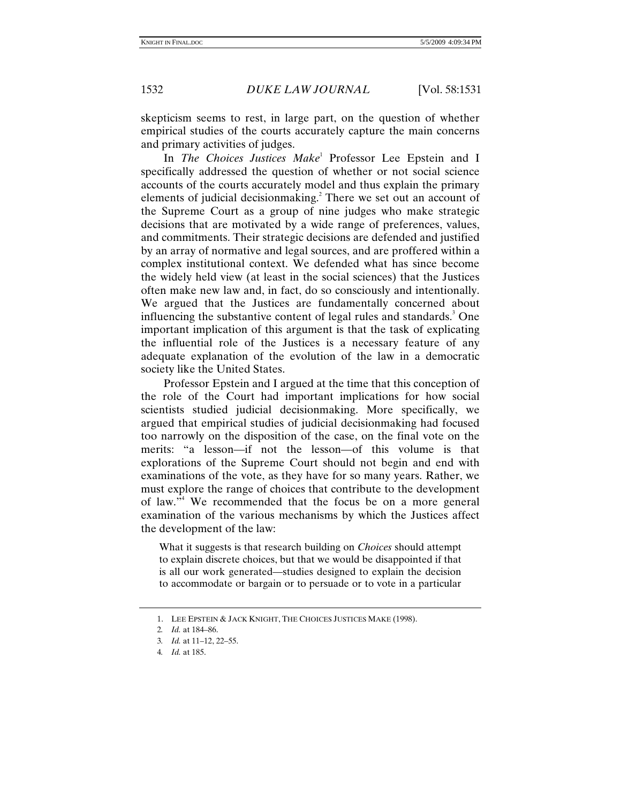skepticism seems to rest, in large part, on the question of whether empirical studies of the courts accurately capture the main concerns and primary activities of judges.

In *The Choices Justices Make*<sup>1</sup> Professor Lee Epstein and I specifically addressed the question of whether or not social science accounts of the courts accurately model and thus explain the primary elements of judicial decisionmaking.<sup>2</sup> There we set out an account of the Supreme Court as a group of nine judges who make strategic decisions that are motivated by a wide range of preferences, values, and commitments. Their strategic decisions are defended and justified by an array of normative and legal sources, and are proffered within a complex institutional context. We defended what has since become the widely held view (at least in the social sciences) that the Justices often make new law and, in fact, do so consciously and intentionally. We argued that the Justices are fundamentally concerned about influencing the substantive content of legal rules and standards.<sup>3</sup> One important implication of this argument is that the task of explicating the influential role of the Justices is a necessary feature of any adequate explanation of the evolution of the law in a democratic society like the United States.

Professor Epstein and I argued at the time that this conception of the role of the Court had important implications for how social scientists studied judicial decisionmaking. More specifically, we argued that empirical studies of judicial decisionmaking had focused too narrowly on the disposition of the case, on the final vote on the merits: "a lesson—if not the lesson—of this volume is that explorations of the Supreme Court should not begin and end with examinations of the vote, as they have for so many years. Rather, we must explore the range of choices that contribute to the development of law."4 We recommended that the focus be on a more general examination of the various mechanisms by which the Justices affect the development of the law:

What it suggests is that research building on *Choices* should attempt to explain discrete choices, but that we would be disappointed if that is all our work generated—studies designed to explain the decision to accommodate or bargain or to persuade or to vote in a particular

 <sup>1.</sup> LEE EPSTEIN & JACK KNIGHT, THE CHOICES JUSTICES MAKE (1998).

<sup>2</sup>*. Id.* at 184–86.

<sup>3</sup>*. Id.* at 11–12, 22–55.

<sup>4</sup>*. Id.* at 185.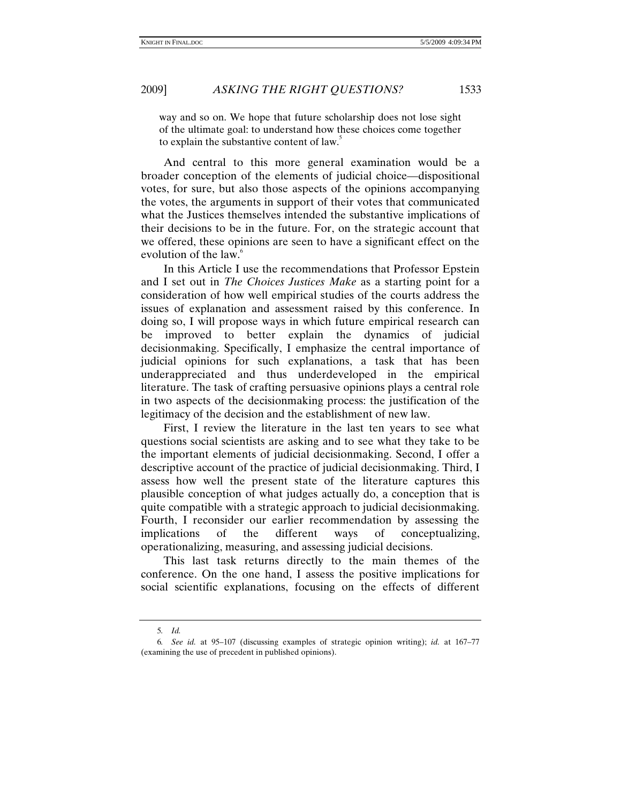way and so on. We hope that future scholarship does not lose sight of the ultimate goal: to understand how these choices come together to explain the substantive content of law.<sup>5</sup>

And central to this more general examination would be a broader conception of the elements of judicial choice—dispositional votes, for sure, but also those aspects of the opinions accompanying the votes, the arguments in support of their votes that communicated what the Justices themselves intended the substantive implications of their decisions to be in the future. For, on the strategic account that we offered, these opinions are seen to have a significant effect on the evolution of the law.<sup>6</sup>

In this Article I use the recommendations that Professor Epstein and I set out in *The Choices Justices Make* as a starting point for a consideration of how well empirical studies of the courts address the issues of explanation and assessment raised by this conference. In doing so, I will propose ways in which future empirical research can be improved to better explain the dynamics of judicial decisionmaking. Specifically, I emphasize the central importance of judicial opinions for such explanations, a task that has been underappreciated and thus underdeveloped in the empirical literature. The task of crafting persuasive opinions plays a central role in two aspects of the decisionmaking process: the justification of the legitimacy of the decision and the establishment of new law.

First, I review the literature in the last ten years to see what questions social scientists are asking and to see what they take to be the important elements of judicial decisionmaking. Second, I offer a descriptive account of the practice of judicial decisionmaking. Third, I assess how well the present state of the literature captures this plausible conception of what judges actually do, a conception that is quite compatible with a strategic approach to judicial decisionmaking. Fourth, I reconsider our earlier recommendation by assessing the implications of the different ways of conceptualizing, operationalizing, measuring, and assessing judicial decisions.

This last task returns directly to the main themes of the conference. On the one hand, I assess the positive implications for social scientific explanations, focusing on the effects of different

<sup>5</sup>*. Id.*

<sup>6</sup>*. See id.* at 95–107 (discussing examples of strategic opinion writing); *id.* at 167–77 (examining the use of precedent in published opinions).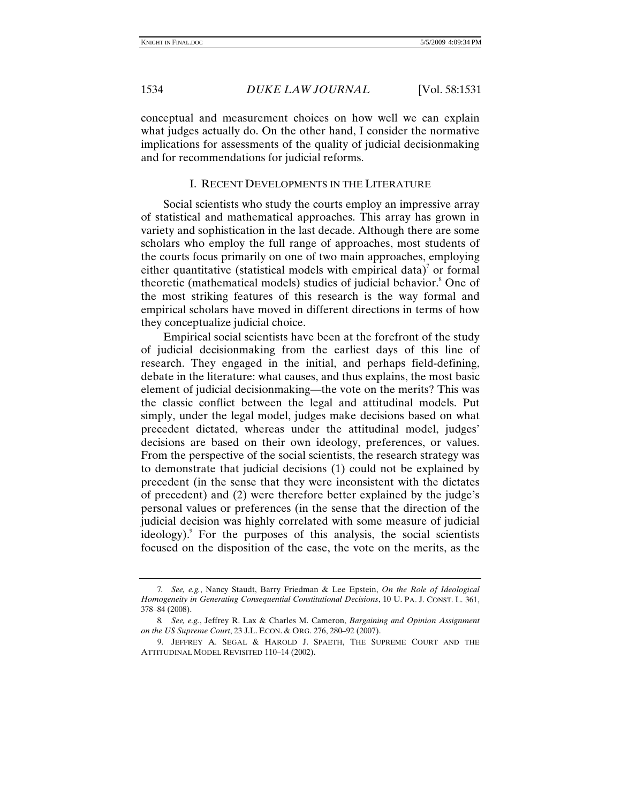conceptual and measurement choices on how well we can explain what judges actually do. On the other hand, I consider the normative implications for assessments of the quality of judicial decisionmaking and for recommendations for judicial reforms.

### I. RECENT DEVELOPMENTS IN THE LITERATURE

 Social scientists who study the courts employ an impressive array of statistical and mathematical approaches. This array has grown in variety and sophistication in the last decade. Although there are some scholars who employ the full range of approaches, most students of the courts focus primarily on one of two main approaches, employing either quantitative (statistical models with empirical data)<sup>7</sup> or formal theoretic (mathematical models) studies of judicial behavior.<sup>8</sup> One of the most striking features of this research is the way formal and empirical scholars have moved in different directions in terms of how they conceptualize judicial choice.

Empirical social scientists have been at the forefront of the study of judicial decisionmaking from the earliest days of this line of research. They engaged in the initial, and perhaps field-defining, debate in the literature: what causes, and thus explains, the most basic element of judicial decisionmaking—the vote on the merits? This was the classic conflict between the legal and attitudinal models. Put simply, under the legal model, judges make decisions based on what precedent dictated, whereas under the attitudinal model, judges' decisions are based on their own ideology, preferences, or values. From the perspective of the social scientists, the research strategy was to demonstrate that judicial decisions (1) could not be explained by precedent (in the sense that they were inconsistent with the dictates of precedent) and (2) were therefore better explained by the judge's personal values or preferences (in the sense that the direction of the judicial decision was highly correlated with some measure of judicial ideology). For the purposes of this analysis, the social scientists focused on the disposition of the case, the vote on the merits, as the

<sup>7</sup>*. See, e.g.*, Nancy Staudt, Barry Friedman & Lee Epstein, *On the Role of Ideological Homogeneity in Generating Consequential Constitutional Decisions*, 10 U. PA. J. CONST. L. 361, 378–84 (2008).

<sup>8</sup>*. See, e.g.*, Jeffrey R. Lax & Charles M. Cameron, *Bargaining and Opinion Assignment on the US Supreme Court*, 23 J.L. ECON. & ORG. 276, 280–92 (2007).

 <sup>9.</sup> JEFFREY A. SEGAL & HAROLD J. SPAETH, THE SUPREME COURT AND THE ATTITUDINAL MODEL REVISITED 110–14 (2002).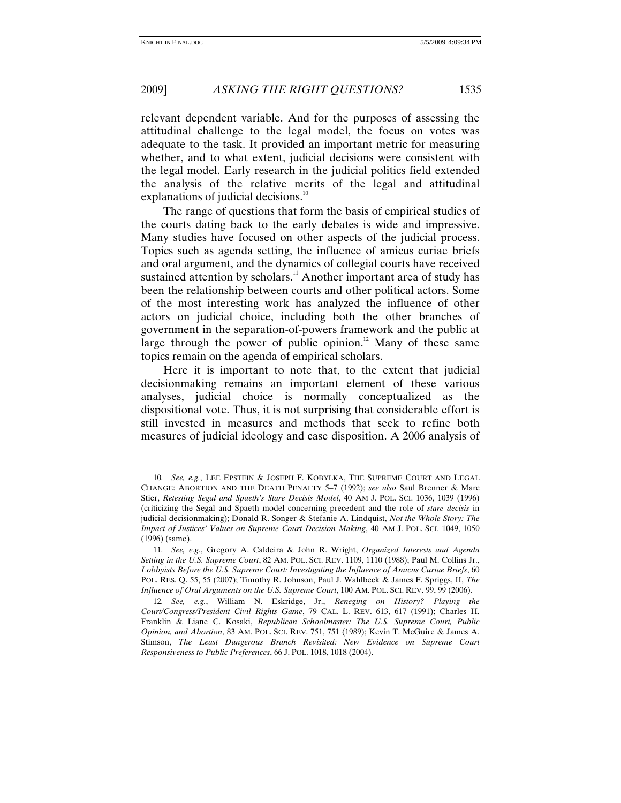relevant dependent variable. And for the purposes of assessing the attitudinal challenge to the legal model, the focus on votes was adequate to the task. It provided an important metric for measuring whether, and to what extent, judicial decisions were consistent with the legal model. Early research in the judicial politics field extended the analysis of the relative merits of the legal and attitudinal explanations of judicial decisions.<sup>10</sup>

The range of questions that form the basis of empirical studies of the courts dating back to the early debates is wide and impressive. Many studies have focused on other aspects of the judicial process. Topics such as agenda setting, the influence of amicus curiae briefs and oral argument, and the dynamics of collegial courts have received sustained attention by scholars.<sup>11</sup> Another important area of study has been the relationship between courts and other political actors. Some of the most interesting work has analyzed the influence of other actors on judicial choice, including both the other branches of government in the separation-of-powers framework and the public at large through the power of public opinion.<sup>12</sup> Many of these same topics remain on the agenda of empirical scholars.

Here it is important to note that, to the extent that judicial decisionmaking remains an important element of these various analyses, judicial choice is normally conceptualized as the dispositional vote. Thus, it is not surprising that considerable effort is still invested in measures and methods that seek to refine both measures of judicial ideology and case disposition. A 2006 analysis of

<sup>10</sup>*. See, e.g.*, LEE EPSTEIN & JOSEPH F. KOBYLKA, THE SUPREME COURT AND LEGAL CHANGE: ABORTION AND THE DEATH PENALTY 5–7 (1992); *see also* Saul Brenner & Marc Stier, *Retesting Segal and Spaeth's Stare Decisis Model*, 40 AM J. POL. SCI. 1036, 1039 (1996) (criticizing the Segal and Spaeth model concerning precedent and the role of *stare decisis* in judicial decisionmaking); Donald R. Songer & Stefanie A. Lindquist, *Not the Whole Story: The Impact of Justices' Values on Supreme Court Decision Making*, 40 AM J. POL. SCI. 1049, 1050 (1996) (same).

<sup>11</sup>*. See, e.g.*, Gregory A. Caldeira & John R. Wright, *Organized Interests and Agenda Setting in the U.S. Supreme Court*, 82 AM. POL. SCI. REV. 1109, 1110 (1988); Paul M. Collins Jr., *Lobbyists Before the U.S. Supreme Court: Investigating the Influence of Amicus Curiae Briefs*, 60 POL. RES. Q. 55, 55 (2007); Timothy R. Johnson, Paul J. Wahlbeck & James F. Spriggs, II, *The Influence of Oral Arguments on the U.S. Supreme Court*, 100 AM. POL. SCI. REV. 99, 99 (2006).

<sup>12</sup>*. See, e.g.*, William N. Eskridge, Jr., *Reneging on History? Playing the Court/Congress/President Civil Rights Game*, 79 CAL. L. REV. 613, 617 (1991); Charles H. Franklin & Liane C. Kosaki, *Republican Schoolmaster: The U.S. Supreme Court, Public Opinion, and Abortion*, 83 AM. POL. SCI. REV. 751, 751 (1989); Kevin T. McGuire & James A. Stimson, *The Least Dangerous Branch Revisited: New Evidence on Supreme Court Responsiveness to Public Preferences*, 66 J. POL. 1018, 1018 (2004).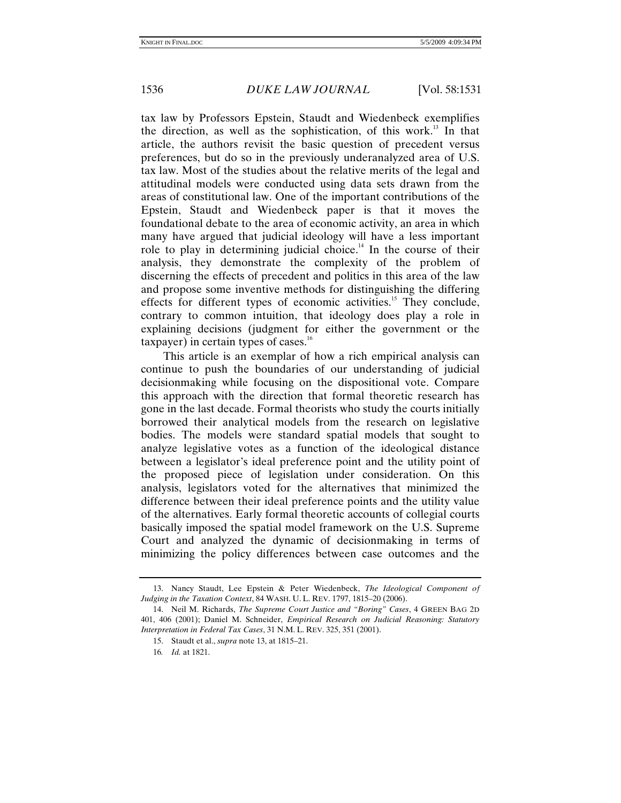tax law by Professors Epstein, Staudt and Wiedenbeck exemplifies the direction, as well as the sophistication, of this work.<sup>13</sup> In that article, the authors revisit the basic question of precedent versus preferences, but do so in the previously underanalyzed area of U.S. tax law. Most of the studies about the relative merits of the legal and attitudinal models were conducted using data sets drawn from the areas of constitutional law. One of the important contributions of the Epstein, Staudt and Wiedenbeck paper is that it moves the foundational debate to the area of economic activity, an area in which many have argued that judicial ideology will have a less important role to play in determining judicial choice.<sup>14</sup> In the course of their analysis, they demonstrate the complexity of the problem of discerning the effects of precedent and politics in this area of the law and propose some inventive methods for distinguishing the differing effects for different types of economic activities.<sup>15</sup> They conclude, contrary to common intuition, that ideology does play a role in explaining decisions (judgment for either the government or the  $t$ axpayer) in certain types of cases.<sup>16</sup>

This article is an exemplar of how a rich empirical analysis can continue to push the boundaries of our understanding of judicial decisionmaking while focusing on the dispositional vote. Compare this approach with the direction that formal theoretic research has gone in the last decade. Formal theorists who study the courts initially borrowed their analytical models from the research on legislative bodies. The models were standard spatial models that sought to analyze legislative votes as a function of the ideological distance between a legislator's ideal preference point and the utility point of the proposed piece of legislation under consideration. On this analysis, legislators voted for the alternatives that minimized the difference between their ideal preference points and the utility value of the alternatives. Early formal theoretic accounts of collegial courts basically imposed the spatial model framework on the U.S. Supreme Court and analyzed the dynamic of decisionmaking in terms of minimizing the policy differences between case outcomes and the

 <sup>13.</sup> Nancy Staudt, Lee Epstein & Peter Wiedenbeck, *The Ideological Component of Judging in the Taxation Context*, 84 WASH. U. L. REV. 1797, 1815–20 (2006).

 <sup>14.</sup> Neil M. Richards, *The Supreme Court Justice and "Boring" Cases*, 4 GREEN BAG 2D 401, 406 (2001); Daniel M. Schneider, *Empirical Research on Judicial Reasoning: Statutory Interpretation in Federal Tax Cases*, 31 N.M. L. REV. 325, 351 (2001).

 <sup>15.</sup> Staudt et al., *supra* note 13, at 1815–21.

<sup>16</sup>*. Id.* at 1821.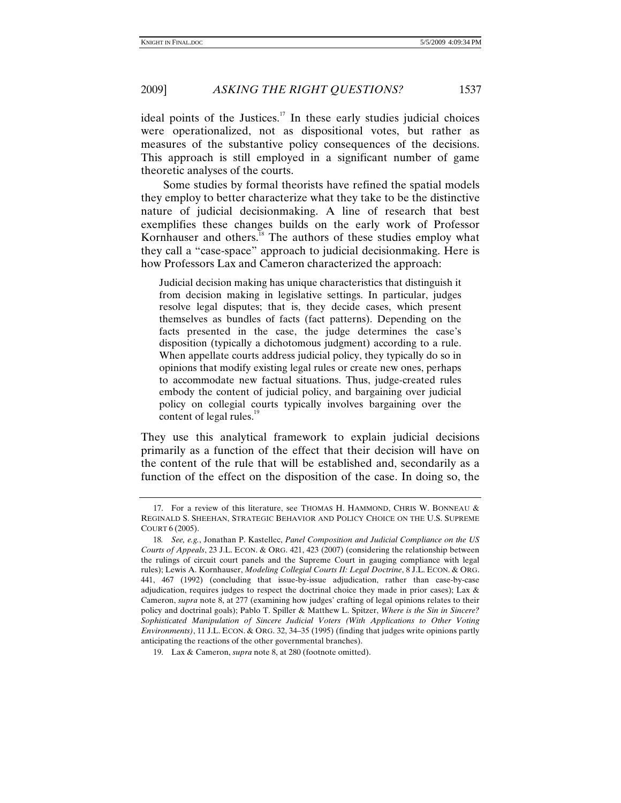2009] *ASKING THE RIGHT QUESTIONS?* 1537

ideal points of the Justices.<sup>17</sup> In these early studies judicial choices were operationalized, not as dispositional votes, but rather as measures of the substantive policy consequences of the decisions. This approach is still employed in a significant number of game theoretic analyses of the courts.

Some studies by formal theorists have refined the spatial models they employ to better characterize what they take to be the distinctive nature of judicial decisionmaking. A line of research that best exemplifies these changes builds on the early work of Professor Kornhauser and others.<sup>18</sup> The authors of these studies employ what they call a "case-space" approach to judicial decisionmaking. Here is how Professors Lax and Cameron characterized the approach:

Judicial decision making has unique characteristics that distinguish it from decision making in legislative settings. In particular, judges resolve legal disputes; that is, they decide cases, which present themselves as bundles of facts (fact patterns). Depending on the facts presented in the case, the judge determines the case's disposition (typically a dichotomous judgment) according to a rule. When appellate courts address judicial policy, they typically do so in opinions that modify existing legal rules or create new ones, perhaps to accommodate new factual situations. Thus, judge-created rules embody the content of judicial policy, and bargaining over judicial policy on collegial courts typically involves bargaining over the content of legal rules.<sup>19</sup>

They use this analytical framework to explain judicial decisions primarily as a function of the effect that their decision will have on the content of the rule that will be established and, secondarily as a function of the effect on the disposition of the case. In doing so, the

 <sup>17.</sup> For a review of this literature, see THOMAS H. HAMMOND, CHRIS W. BONNEAU & REGINALD S. SHEEHAN, STRATEGIC BEHAVIOR AND POLICY CHOICE ON THE U.S. SUPREME COURT 6 (2005).

<sup>18</sup>*. See, e.g.*, Jonathan P. Kastellec, *Panel Composition and Judicial Compliance on the US Courts of Appeals*, 23 J.L. ECON. & ORG. 421, 423 (2007) (considering the relationship between the rulings of circuit court panels and the Supreme Court in gauging compliance with legal rules); Lewis A. Kornhauser, *Modeling Collegial Courts II: Legal Doctrine*, 8 J.L. ECON. & ORG. 441, 467 (1992) (concluding that issue-by-issue adjudication, rather than case-by-case adjudication, requires judges to respect the doctrinal choice they made in prior cases); Lax  $\&$ Cameron, *supra* note 8, at 277 (examining how judges' crafting of legal opinions relates to their policy and doctrinal goals); Pablo T. Spiller & Matthew L. Spitzer, *Where is the Sin in Sincere? Sophisticated Manipulation of Sincere Judicial Voters (With Applications to Other Voting Environments)*, 11 J.L. ECON. & ORG. 32, 34–35 (1995) (finding that judges write opinions partly anticipating the reactions of the other governmental branches).

 <sup>19.</sup> Lax & Cameron, *supra* note 8, at 280 (footnote omitted).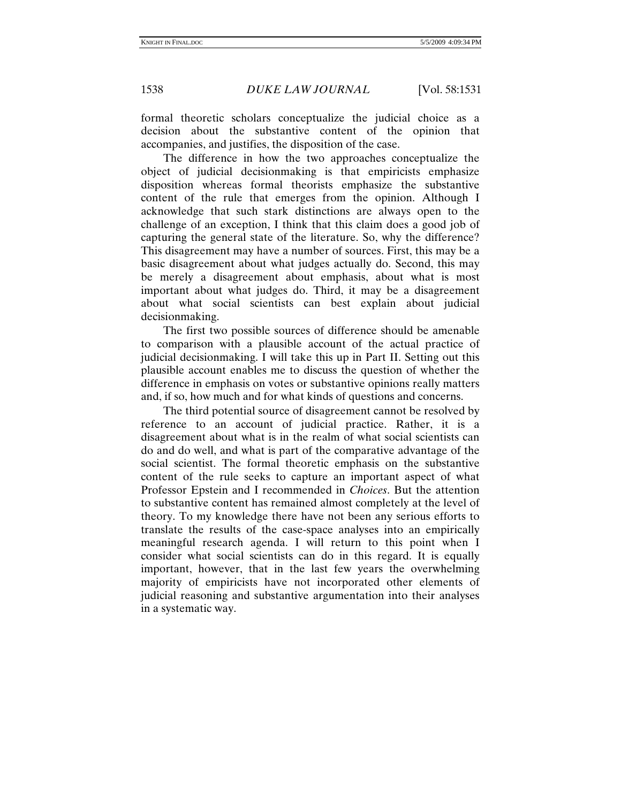formal theoretic scholars conceptualize the judicial choice as a decision about the substantive content of the opinion that accompanies, and justifies, the disposition of the case.

The difference in how the two approaches conceptualize the object of judicial decisionmaking is that empiricists emphasize disposition whereas formal theorists emphasize the substantive content of the rule that emerges from the opinion. Although I acknowledge that such stark distinctions are always open to the challenge of an exception, I think that this claim does a good job of capturing the general state of the literature. So, why the difference? This disagreement may have a number of sources. First, this may be a basic disagreement about what judges actually do. Second, this may be merely a disagreement about emphasis, about what is most important about what judges do. Third, it may be a disagreement about what social scientists can best explain about judicial decisionmaking.

The first two possible sources of difference should be amenable to comparison with a plausible account of the actual practice of judicial decisionmaking. I will take this up in Part II. Setting out this plausible account enables me to discuss the question of whether the difference in emphasis on votes or substantive opinions really matters and, if so, how much and for what kinds of questions and concerns.

The third potential source of disagreement cannot be resolved by reference to an account of judicial practice. Rather, it is a disagreement about what is in the realm of what social scientists can do and do well, and what is part of the comparative advantage of the social scientist. The formal theoretic emphasis on the substantive content of the rule seeks to capture an important aspect of what Professor Epstein and I recommended in *Choices*. But the attention to substantive content has remained almost completely at the level of theory. To my knowledge there have not been any serious efforts to translate the results of the case-space analyses into an empirically meaningful research agenda. I will return to this point when I consider what social scientists can do in this regard. It is equally important, however, that in the last few years the overwhelming majority of empiricists have not incorporated other elements of judicial reasoning and substantive argumentation into their analyses in a systematic way.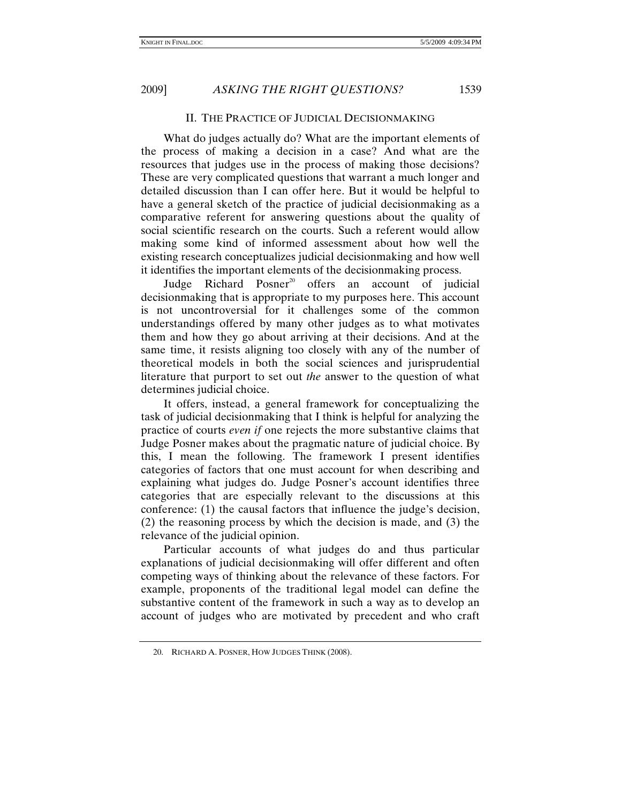### II. THE PRACTICE OF JUDICIAL DECISIONMAKING

What do judges actually do? What are the important elements of the process of making a decision in a case? And what are the resources that judges use in the process of making those decisions? These are very complicated questions that warrant a much longer and detailed discussion than I can offer here. But it would be helpful to have a general sketch of the practice of judicial decisionmaking as a comparative referent for answering questions about the quality of social scientific research on the courts. Such a referent would allow making some kind of informed assessment about how well the existing research conceptualizes judicial decisionmaking and how well it identifies the important elements of the decisionmaking process.

Judge Richard Posner<sup>20</sup> offers an account of judicial decisionmaking that is appropriate to my purposes here. This account is not uncontroversial for it challenges some of the common understandings offered by many other judges as to what motivates them and how they go about arriving at their decisions. And at the same time, it resists aligning too closely with any of the number of theoretical models in both the social sciences and jurisprudential literature that purport to set out *the* answer to the question of what determines judicial choice.

It offers, instead, a general framework for conceptualizing the task of judicial decisionmaking that I think is helpful for analyzing the practice of courts *even if* one rejects the more substantive claims that Judge Posner makes about the pragmatic nature of judicial choice. By this, I mean the following. The framework I present identifies categories of factors that one must account for when describing and explaining what judges do. Judge Posner's account identifies three categories that are especially relevant to the discussions at this conference: (1) the causal factors that influence the judge's decision, (2) the reasoning process by which the decision is made, and (3) the relevance of the judicial opinion.

Particular accounts of what judges do and thus particular explanations of judicial decisionmaking will offer different and often competing ways of thinking about the relevance of these factors. For example, proponents of the traditional legal model can define the substantive content of the framework in such a way as to develop an account of judges who are motivated by precedent and who craft

 <sup>20.</sup> RICHARD A. POSNER, HOW JUDGES THINK (2008).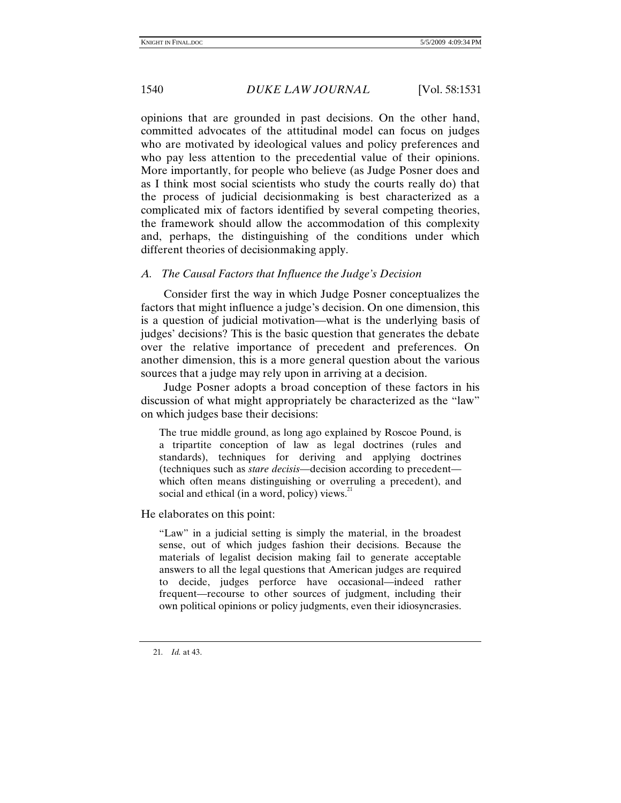opinions that are grounded in past decisions. On the other hand, committed advocates of the attitudinal model can focus on judges who are motivated by ideological values and policy preferences and who pay less attention to the precedential value of their opinions. More importantly, for people who believe (as Judge Posner does and as I think most social scientists who study the courts really do) that the process of judicial decisionmaking is best characterized as a complicated mix of factors identified by several competing theories, the framework should allow the accommodation of this complexity and, perhaps, the distinguishing of the conditions under which different theories of decisionmaking apply.

# *A. The Causal Factors that Influence the Judge's Decision*

Consider first the way in which Judge Posner conceptualizes the factors that might influence a judge's decision. On one dimension, this is a question of judicial motivation—what is the underlying basis of judges' decisions? This is the basic question that generates the debate over the relative importance of precedent and preferences. On another dimension, this is a more general question about the various sources that a judge may rely upon in arriving at a decision.

Judge Posner adopts a broad conception of these factors in his discussion of what might appropriately be characterized as the "law" on which judges base their decisions:

The true middle ground, as long ago explained by Roscoe Pound, is a tripartite conception of law as legal doctrines (rules and standards), techniques for deriving and applying doctrines (techniques such as *stare decisis*—decision according to precedent which often means distinguishing or overruling a precedent), and social and ethical (in a word, policy) views. $21$ 

He elaborates on this point:

"Law" in a judicial setting is simply the material, in the broadest sense, out of which judges fashion their decisions. Because the materials of legalist decision making fail to generate acceptable answers to all the legal questions that American judges are required to decide, judges perforce have occasional—indeed rather frequent—recourse to other sources of judgment, including their own political opinions or policy judgments, even their idiosyncrasies.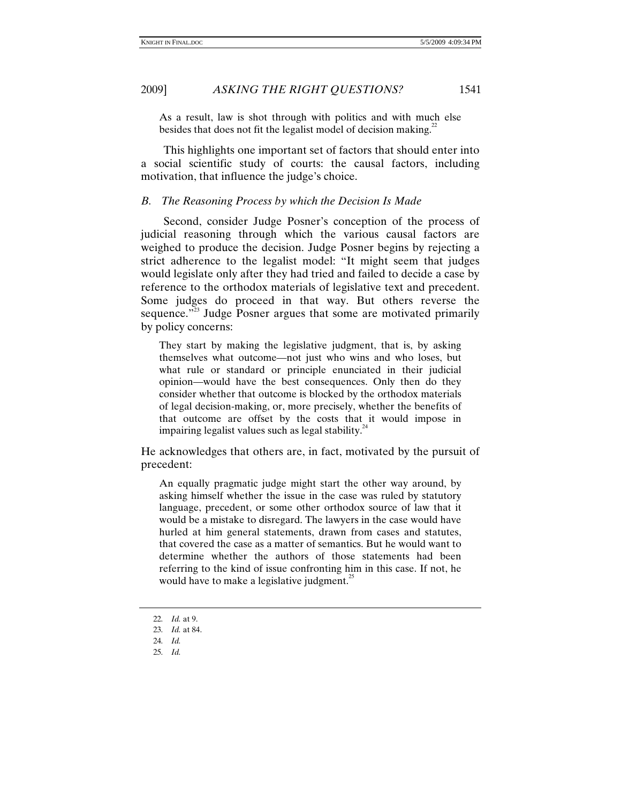2009] *ASKING THE RIGHT QUESTIONS?* 1541

As a result, law is shot through with politics and with much else besides that does not fit the legalist model of decision making.<sup>22</sup>

This highlights one important set of factors that should enter into a social scientific study of courts: the causal factors, including motivation, that influence the judge's choice.

# *B. The Reasoning Process by which the Decision Is Made*

Second, consider Judge Posner's conception of the process of judicial reasoning through which the various causal factors are weighed to produce the decision. Judge Posner begins by rejecting a strict adherence to the legalist model: "It might seem that judges would legislate only after they had tried and failed to decide a case by reference to the orthodox materials of legislative text and precedent. Some judges do proceed in that way. But others reverse the sequence."<sup>23</sup> Judge Posner argues that some are motivated primarily by policy concerns:

They start by making the legislative judgment, that is, by asking themselves what outcome—not just who wins and who loses, but what rule or standard or principle enunciated in their judicial opinion—would have the best consequences. Only then do they consider whether that outcome is blocked by the orthodox materials of legal decision-making, or, more precisely, whether the benefits of that outcome are offset by the costs that it would impose in impairing legalist values such as legal stability.<sup>24</sup>

He acknowledges that others are, in fact, motivated by the pursuit of precedent:

An equally pragmatic judge might start the other way around, by asking himself whether the issue in the case was ruled by statutory language, precedent, or some other orthodox source of law that it would be a mistake to disregard. The lawyers in the case would have hurled at him general statements, drawn from cases and statutes, that covered the case as a matter of semantics. But he would want to determine whether the authors of those statements had been referring to the kind of issue confronting him in this case. If not, he would have to make a legislative judgment. $^{25}$ 

<sup>22</sup>*. Id.* at 9.

<sup>23</sup>*. Id.* at 84.

<sup>24</sup>*. Id.*

<sup>25</sup>*. Id.*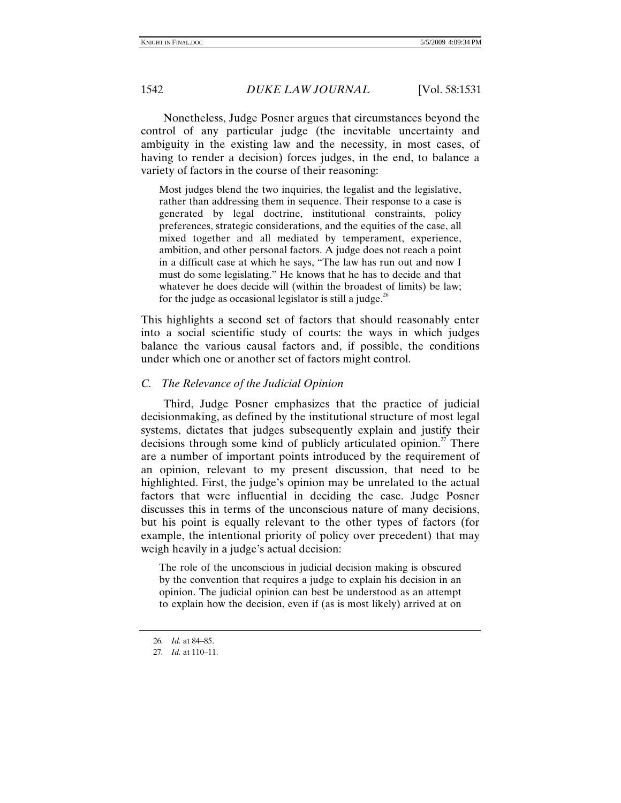Nonetheless, Judge Posner argues that circumstances beyond the control of any particular judge (the inevitable uncertainty and ambiguity in the existing law and the necessity, in most cases, of having to render a decision) forces judges, in the end, to balance a variety of factors in the course of their reasoning:

Most judges blend the two inquiries, the legalist and the legislative, rather than addressing them in sequence. Their response to a case is generated by legal doctrine, institutional constraints, policy preferences, strategic considerations, and the equities of the case, all mixed together and all mediated by temperament, experience, ambition, and other personal factors. A judge does not reach a point in a difficult case at which he says, "The law has run out and now I must do some legislating." He knows that he has to decide and that whatever he does decide will (within the broadest of limits) be law; for the judge as occasional legislator is still a judge.<sup>26</sup>

This highlights a second set of factors that should reasonably enter into a social scientific study of courts: the ways in which judges balance the various causal factors and, if possible, the conditions under which one or another set of factors might control.

## *C. The Relevance of the Judicial Opinion*

Third, Judge Posner emphasizes that the practice of judicial decisionmaking, as defined by the institutional structure of most legal systems, dictates that judges subsequently explain and justify their decisions through some kind of publicly articulated opinion.<sup>27</sup> There are a number of important points introduced by the requirement of an opinion, relevant to my present discussion, that need to be highlighted. First, the judge's opinion may be unrelated to the actual factors that were influential in deciding the case. Judge Posner discusses this in terms of the unconscious nature of many decisions, but his point is equally relevant to the other types of factors (for example, the intentional priority of policy over precedent) that may weigh heavily in a judge's actual decision:

The role of the unconscious in judicial decision making is obscured by the convention that requires a judge to explain his decision in an opinion. The judicial opinion can best be understood as an attempt to explain how the decision, even if (as is most likely) arrived at on

<sup>26</sup>*. Id.* at 84–85.

<sup>27</sup>*. Id.* at 110–11.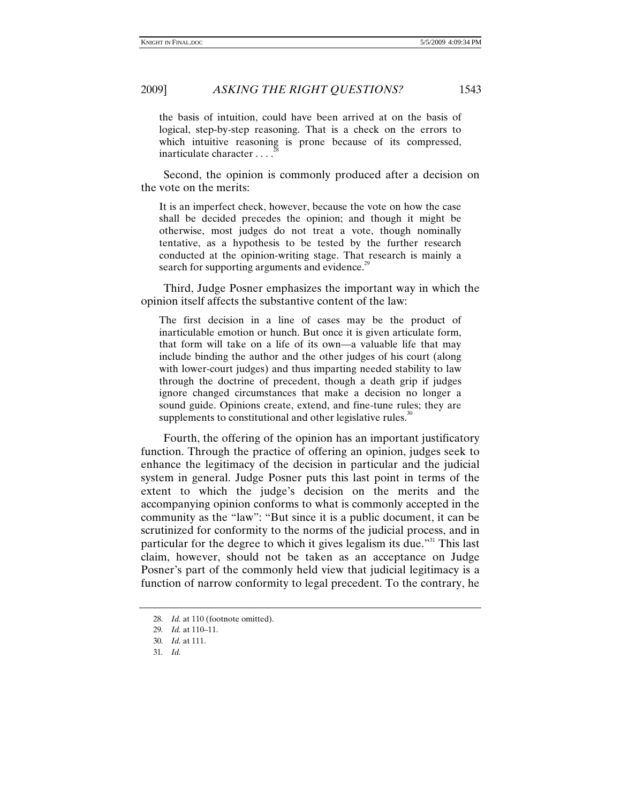the basis of intuition, could have been arrived at on the basis of logical, step-by-step reasoning. That is a check on the errors to which intuitive reasoning is prone because of its compressed, inarticulate character ....<sup>2</sup>

Second, the opinion is commonly produced after a decision on the vote on the merits:

It is an imperfect check, however, because the vote on how the case shall be decided precedes the opinion; and though it might be otherwise, most judges do not treat a vote, though nominally tentative, as a hypothesis to be tested by the further research conducted at the opinion-writing stage. That research is mainly a search for supporting arguments and evidence.<sup>29</sup>

Third, Judge Posner emphasizes the important way in which the opinion itself affects the substantive content of the law:

The first decision in a line of cases may be the product of inarticulable emotion or hunch. But once it is given articulate form, that form will take on a life of its own—a valuable life that may include binding the author and the other judges of his court (along with lower-court judges) and thus imparting needed stability to law through the doctrine of precedent, though a death grip if judges ignore changed circumstances that make a decision no longer a sound guide. Opinions create, extend, and fine-tune rules; they are supplements to constitutional and other legislative rules.<sup>30</sup>

Fourth, the offering of the opinion has an important justificatory function. Through the practice of offering an opinion, judges seek to enhance the legitimacy of the decision in particular and the judicial system in general. Judge Posner puts this last point in terms of the extent to which the judge's decision on the merits and the accompanying opinion conforms to what is commonly accepted in the community as the "law": "But since it is a public document, it can be scrutinized for conformity to the norms of the judicial process, and in particular for the degree to which it gives legalism its due."<sup>31</sup> This last claim, however, should not be taken as an acceptance on Judge Posner's part of the commonly held view that judicial legitimacy is a function of narrow conformity to legal precedent. To the contrary, he

<sup>28</sup>*. Id.* at 110 (footnote omitted).

<sup>29</sup>*. Id.* at 110–11.

<sup>30</sup>*. Id.* at 111.

<sup>31</sup>*. Id.*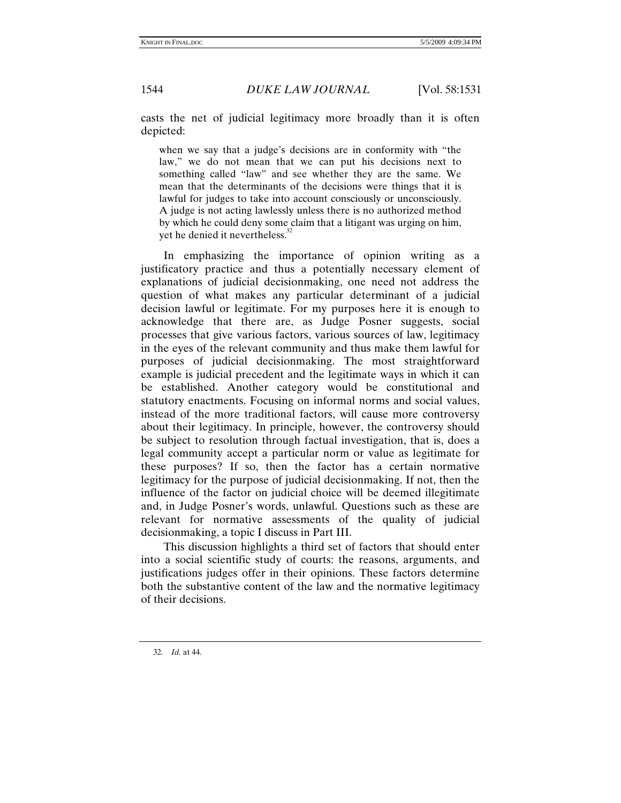casts the net of judicial legitimacy more broadly than it is often depicted:

when we say that a judge's decisions are in conformity with "the law," we do not mean that we can put his decisions next to something called "law" and see whether they are the same. We mean that the determinants of the decisions were things that it is lawful for judges to take into account consciously or unconsciously. A judge is not acting lawlessly unless there is no authorized method by which he could deny some claim that a litigant was urging on him, yet he denied it nevertheless.<sup>32</sup>

In emphasizing the importance of opinion writing as a justificatory practice and thus a potentially necessary element of explanations of judicial decisionmaking, one need not address the question of what makes any particular determinant of a judicial decision lawful or legitimate. For my purposes here it is enough to acknowledge that there are, as Judge Posner suggests, social processes that give various factors, various sources of law, legitimacy in the eyes of the relevant community and thus make them lawful for purposes of judicial decisionmaking. The most straightforward example is judicial precedent and the legitimate ways in which it can be established. Another category would be constitutional and statutory enactments. Focusing on informal norms and social values, instead of the more traditional factors, will cause more controversy about their legitimacy. In principle, however, the controversy should be subject to resolution through factual investigation, that is, does a legal community accept a particular norm or value as legitimate for these purposes? If so, then the factor has a certain normative legitimacy for the purpose of judicial decisionmaking. If not, then the influence of the factor on judicial choice will be deemed illegitimate and, in Judge Posner's words, unlawful. Questions such as these are relevant for normative assessments of the quality of judicial decisionmaking, a topic I discuss in Part III.

This discussion highlights a third set of factors that should enter into a social scientific study of courts: the reasons, arguments, and justifications judges offer in their opinions. These factors determine both the substantive content of the law and the normative legitimacy of their decisions.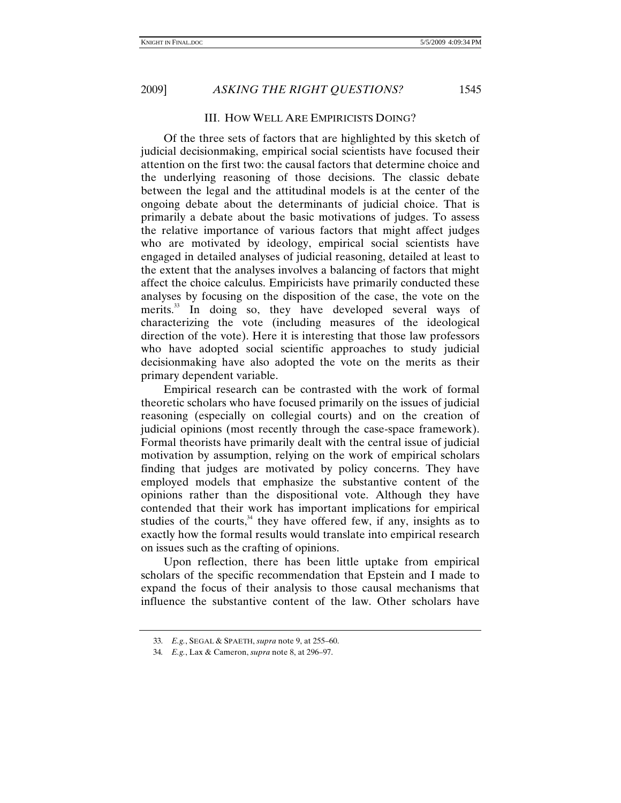# III. HOW WELL ARE EMPIRICISTS DOING?

Of the three sets of factors that are highlighted by this sketch of judicial decisionmaking, empirical social scientists have focused their attention on the first two: the causal factors that determine choice and the underlying reasoning of those decisions. The classic debate between the legal and the attitudinal models is at the center of the ongoing debate about the determinants of judicial choice. That is primarily a debate about the basic motivations of judges. To assess the relative importance of various factors that might affect judges who are motivated by ideology, empirical social scientists have engaged in detailed analyses of judicial reasoning, detailed at least to the extent that the analyses involves a balancing of factors that might affect the choice calculus. Empiricists have primarily conducted these analyses by focusing on the disposition of the case, the vote on the merits.<sup>33</sup> In doing so, they have developed several ways of characterizing the vote (including measures of the ideological direction of the vote). Here it is interesting that those law professors who have adopted social scientific approaches to study judicial decisionmaking have also adopted the vote on the merits as their primary dependent variable.

Empirical research can be contrasted with the work of formal theoretic scholars who have focused primarily on the issues of judicial reasoning (especially on collegial courts) and on the creation of judicial opinions (most recently through the case-space framework). Formal theorists have primarily dealt with the central issue of judicial motivation by assumption, relying on the work of empirical scholars finding that judges are motivated by policy concerns. They have employed models that emphasize the substantive content of the opinions rather than the dispositional vote. Although they have contended that their work has important implications for empirical studies of the courts, $34$  they have offered few, if any, insights as to exactly how the formal results would translate into empirical research on issues such as the crafting of opinions.

Upon reflection, there has been little uptake from empirical scholars of the specific recommendation that Epstein and I made to expand the focus of their analysis to those causal mechanisms that influence the substantive content of the law. Other scholars have

<sup>33</sup>*. E.g.*, SEGAL & SPAETH, *supra* note 9, at 255–60.

<sup>34</sup>*. E.g.*, Lax & Cameron, *supra* note 8, at 296–97.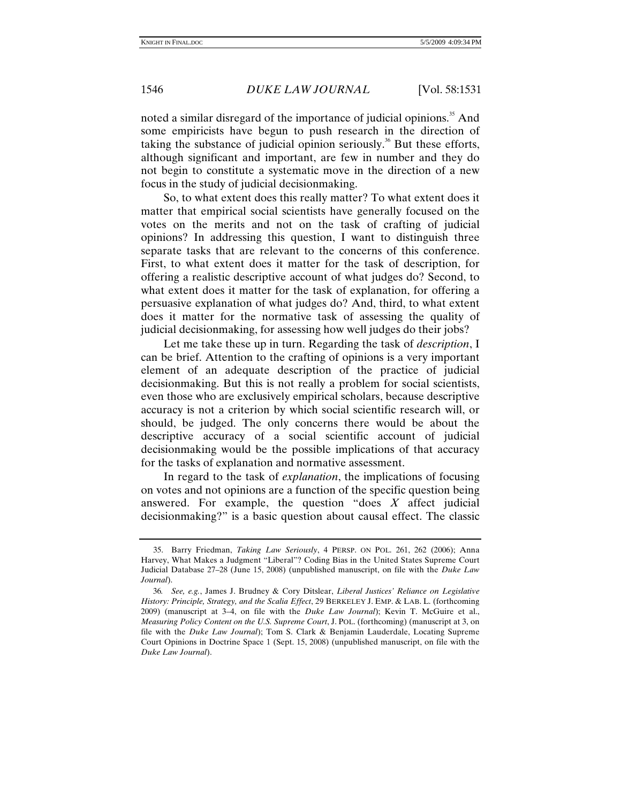noted a similar disregard of the importance of judicial opinions.<sup>35</sup> And some empiricists have begun to push research in the direction of taking the substance of judicial opinion seriously.<sup>36</sup> But these efforts, although significant and important, are few in number and they do not begin to constitute a systematic move in the direction of a new focus in the study of judicial decisionmaking.

So, to what extent does this really matter? To what extent does it matter that empirical social scientists have generally focused on the votes on the merits and not on the task of crafting of judicial opinions? In addressing this question, I want to distinguish three separate tasks that are relevant to the concerns of this conference. First, to what extent does it matter for the task of description, for offering a realistic descriptive account of what judges do? Second, to what extent does it matter for the task of explanation, for offering a persuasive explanation of what judges do? And, third, to what extent does it matter for the normative task of assessing the quality of judicial decisionmaking, for assessing how well judges do their jobs?

Let me take these up in turn. Regarding the task of *description*, I can be brief. Attention to the crafting of opinions is a very important element of an adequate description of the practice of judicial decisionmaking. But this is not really a problem for social scientists, even those who are exclusively empirical scholars, because descriptive accuracy is not a criterion by which social scientific research will, or should, be judged. The only concerns there would be about the descriptive accuracy of a social scientific account of judicial decisionmaking would be the possible implications of that accuracy for the tasks of explanation and normative assessment.

In regard to the task of *explanation*, the implications of focusing on votes and not opinions are a function of the specific question being answered. For example, the question "does *X* affect judicial decisionmaking?" is a basic question about causal effect. The classic

 <sup>35.</sup> Barry Friedman, *Taking Law Seriously*, 4 PERSP. ON POL. 261, 262 (2006); Anna Harvey, What Makes a Judgment "Liberal"? Coding Bias in the United States Supreme Court Judicial Database 27–28 (June 15, 2008) (unpublished manuscript, on file with the *Duke Law Journal*).

<sup>36</sup>*. See, e.g.*, James J. Brudney & Cory Ditslear, *Liberal Justices' Reliance on Legislative History: Principle, Strategy, and the Scalia Effect*, 29 BERKELEY J. EMP. & LAB. L. (forthcoming 2009) (manuscript at 3–4, on file with the *Duke Law Journal*); Kevin T. McGuire et al., *Measuring Policy Content on the U.S. Supreme Court*, J. POL. (forthcoming) (manuscript at 3, on file with the *Duke Law Journal*); Tom S. Clark & Benjamin Lauderdale, Locating Supreme Court Opinions in Doctrine Space 1 (Sept. 15, 2008) (unpublished manuscript, on file with the *Duke Law Journal*).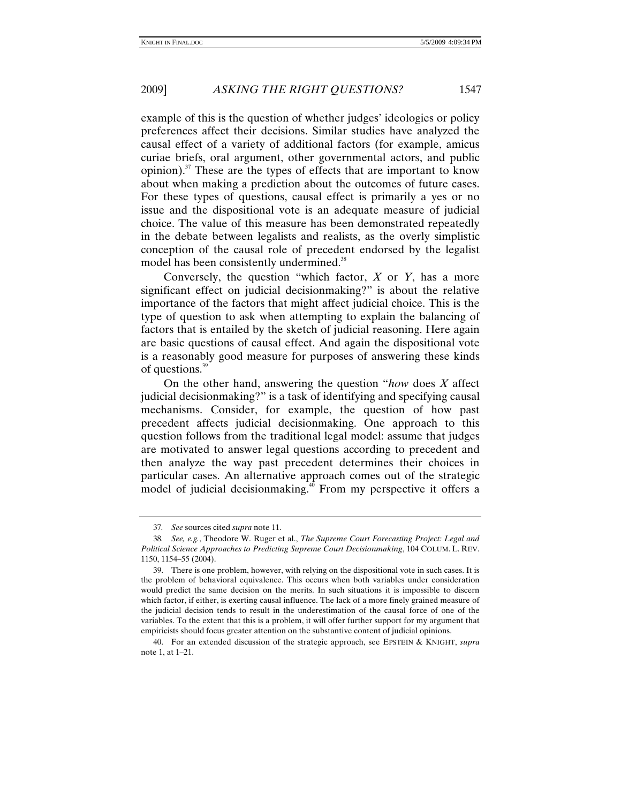example of this is the question of whether judges' ideologies or policy preferences affect their decisions. Similar studies have analyzed the causal effect of a variety of additional factors (for example, amicus curiae briefs, oral argument, other governmental actors, and public opinion). $37$  These are the types of effects that are important to know about when making a prediction about the outcomes of future cases. For these types of questions, causal effect is primarily a yes or no issue and the dispositional vote is an adequate measure of judicial choice. The value of this measure has been demonstrated repeatedly in the debate between legalists and realists, as the overly simplistic conception of the causal role of precedent endorsed by the legalist model has been consistently undermined.<sup>38</sup>

Conversely, the question "which factor, *X* or *Y*, has a more significant effect on judicial decisionmaking?" is about the relative importance of the factors that might affect judicial choice. This is the type of question to ask when attempting to explain the balancing of factors that is entailed by the sketch of judicial reasoning. Here again are basic questions of causal effect. And again the dispositional vote is a reasonably good measure for purposes of answering these kinds of questions.<sup>39</sup>

On the other hand, answering the question "*how* does *X* affect judicial decisionmaking?" is a task of identifying and specifying causal mechanisms. Consider, for example, the question of how past precedent affects judicial decisionmaking. One approach to this question follows from the traditional legal model: assume that judges are motivated to answer legal questions according to precedent and then analyze the way past precedent determines their choices in particular cases. An alternative approach comes out of the strategic model of judicial decisionmaking.<sup>40</sup> From my perspective it offers a

<sup>37</sup>*. See* sources cited *supra* note 11.

<sup>38</sup>*. See, e.g.*, Theodore W. Ruger et al., *The Supreme Court Forecasting Project: Legal and Political Science Approaches to Predicting Supreme Court Decisionmaking*, 104 COLUM. L. REV. 1150, 1154–55 (2004).

 <sup>39.</sup> There is one problem, however, with relying on the dispositional vote in such cases. It is the problem of behavioral equivalence. This occurs when both variables under consideration would predict the same decision on the merits. In such situations it is impossible to discern which factor, if either, is exerting causal influence. The lack of a more finely grained measure of the judicial decision tends to result in the underestimation of the causal force of one of the variables. To the extent that this is a problem, it will offer further support for my argument that empiricists should focus greater attention on the substantive content of judicial opinions.

 <sup>40.</sup> For an extended discussion of the strategic approach, see EPSTEIN & KNIGHT, *supra* note 1, at 1–21.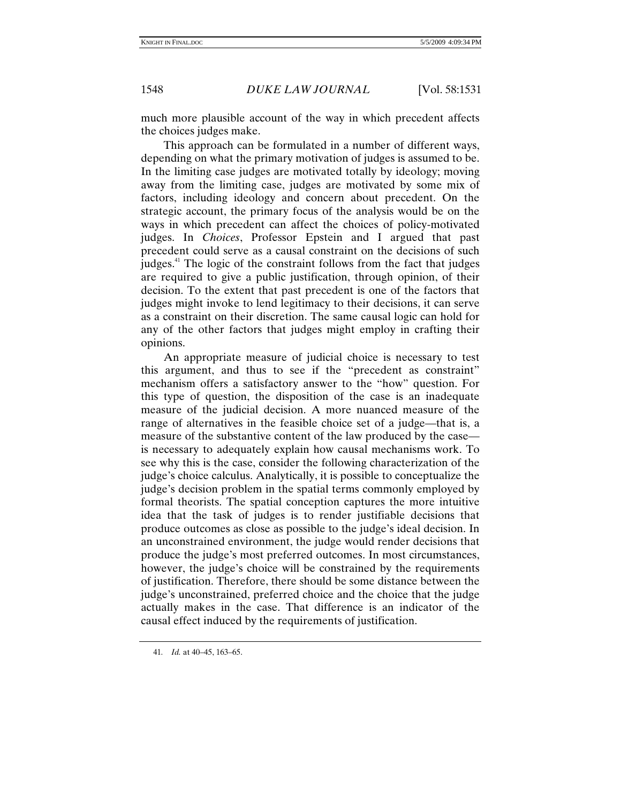much more plausible account of the way in which precedent affects the choices judges make.

This approach can be formulated in a number of different ways, depending on what the primary motivation of judges is assumed to be. In the limiting case judges are motivated totally by ideology; moving away from the limiting case, judges are motivated by some mix of factors, including ideology and concern about precedent. On the strategic account, the primary focus of the analysis would be on the ways in which precedent can affect the choices of policy-motivated judges. In *Choices*, Professor Epstein and I argued that past precedent could serve as a causal constraint on the decisions of such judges.<sup>41</sup> The logic of the constraint follows from the fact that judges are required to give a public justification, through opinion, of their decision. To the extent that past precedent is one of the factors that judges might invoke to lend legitimacy to their decisions, it can serve as a constraint on their discretion. The same causal logic can hold for any of the other factors that judges might employ in crafting their opinions.

An appropriate measure of judicial choice is necessary to test this argument, and thus to see if the "precedent as constraint" mechanism offers a satisfactory answer to the "how" question. For this type of question, the disposition of the case is an inadequate measure of the judicial decision. A more nuanced measure of the range of alternatives in the feasible choice set of a judge—that is, a measure of the substantive content of the law produced by the case is necessary to adequately explain how causal mechanisms work. To see why this is the case, consider the following characterization of the judge's choice calculus. Analytically, it is possible to conceptualize the judge's decision problem in the spatial terms commonly employed by formal theorists. The spatial conception captures the more intuitive idea that the task of judges is to render justifiable decisions that produce outcomes as close as possible to the judge's ideal decision. In an unconstrained environment, the judge would render decisions that produce the judge's most preferred outcomes. In most circumstances, however, the judge's choice will be constrained by the requirements of justification. Therefore, there should be some distance between the judge's unconstrained, preferred choice and the choice that the judge actually makes in the case. That difference is an indicator of the causal effect induced by the requirements of justification.

<sup>41</sup>*. Id.* at 40–45, 163–65.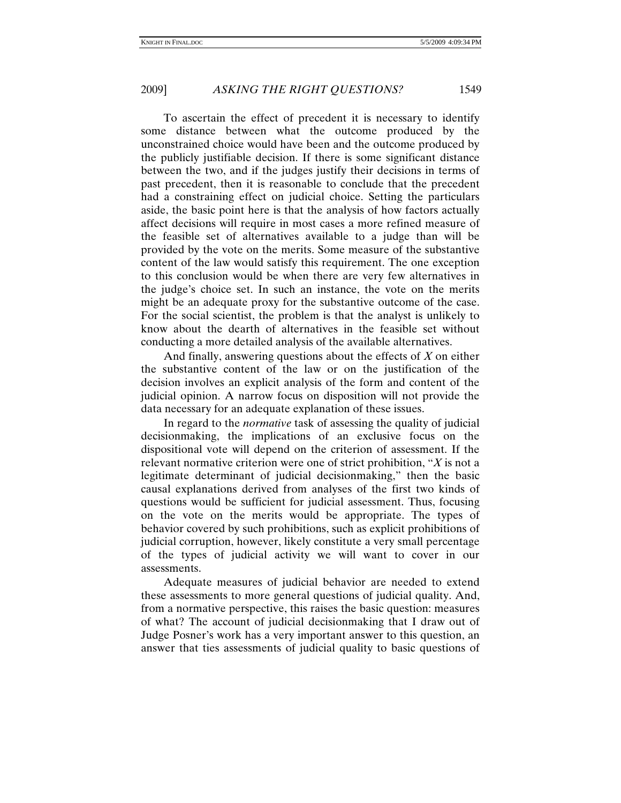To ascertain the effect of precedent it is necessary to identify some distance between what the outcome produced by the unconstrained choice would have been and the outcome produced by the publicly justifiable decision. If there is some significant distance between the two, and if the judges justify their decisions in terms of past precedent, then it is reasonable to conclude that the precedent had a constraining effect on judicial choice. Setting the particulars aside, the basic point here is that the analysis of how factors actually affect decisions will require in most cases a more refined measure of the feasible set of alternatives available to a judge than will be provided by the vote on the merits. Some measure of the substantive content of the law would satisfy this requirement. The one exception to this conclusion would be when there are very few alternatives in the judge's choice set. In such an instance, the vote on the merits might be an adequate proxy for the substantive outcome of the case. For the social scientist, the problem is that the analyst is unlikely to know about the dearth of alternatives in the feasible set without conducting a more detailed analysis of the available alternatives.

And finally, answering questions about the effects of *X* on either the substantive content of the law or on the justification of the decision involves an explicit analysis of the form and content of the judicial opinion. A narrow focus on disposition will not provide the data necessary for an adequate explanation of these issues.

In regard to the *normative* task of assessing the quality of judicial decisionmaking, the implications of an exclusive focus on the dispositional vote will depend on the criterion of assessment. If the relevant normative criterion were one of strict prohibition, "*X* is not a legitimate determinant of judicial decisionmaking," then the basic causal explanations derived from analyses of the first two kinds of questions would be sufficient for judicial assessment. Thus, focusing on the vote on the merits would be appropriate. The types of behavior covered by such prohibitions, such as explicit prohibitions of judicial corruption, however, likely constitute a very small percentage of the types of judicial activity we will want to cover in our assessments.

Adequate measures of judicial behavior are needed to extend these assessments to more general questions of judicial quality. And, from a normative perspective, this raises the basic question: measures of what? The account of judicial decisionmaking that I draw out of Judge Posner's work has a very important answer to this question, an answer that ties assessments of judicial quality to basic questions of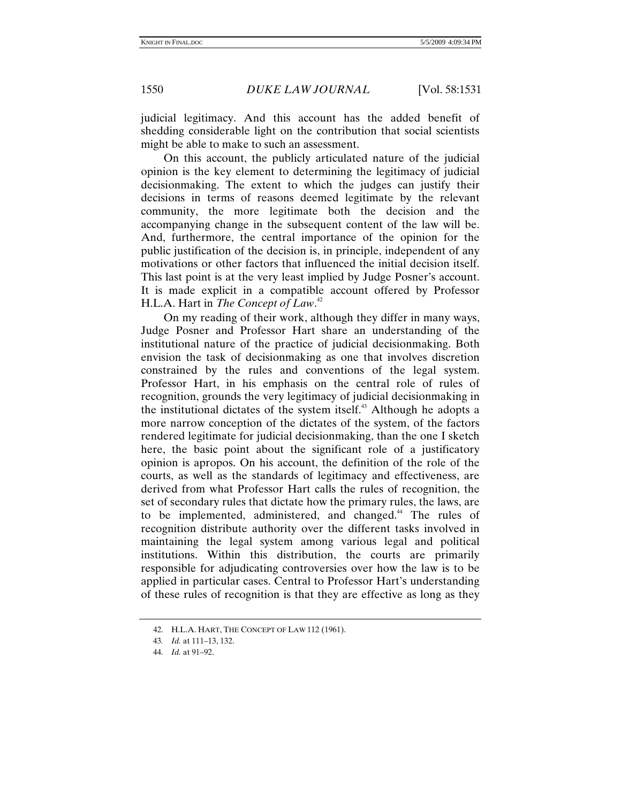judicial legitimacy. And this account has the added benefit of shedding considerable light on the contribution that social scientists might be able to make to such an assessment.

On this account, the publicly articulated nature of the judicial opinion is the key element to determining the legitimacy of judicial decisionmaking. The extent to which the judges can justify their decisions in terms of reasons deemed legitimate by the relevant community, the more legitimate both the decision and the accompanying change in the subsequent content of the law will be. And, furthermore, the central importance of the opinion for the public justification of the decision is, in principle, independent of any motivations or other factors that influenced the initial decision itself. This last point is at the very least implied by Judge Posner's account. It is made explicit in a compatible account offered by Professor H.L.A. Hart in *The Concept of Law*. 42

On my reading of their work, although they differ in many ways, Judge Posner and Professor Hart share an understanding of the institutional nature of the practice of judicial decisionmaking. Both envision the task of decisionmaking as one that involves discretion constrained by the rules and conventions of the legal system. Professor Hart, in his emphasis on the central role of rules of recognition, grounds the very legitimacy of judicial decisionmaking in the institutional dictates of the system itself. $43$  Although he adopts a more narrow conception of the dictates of the system, of the factors rendered legitimate for judicial decisionmaking, than the one I sketch here, the basic point about the significant role of a justificatory opinion is apropos. On his account, the definition of the role of the courts, as well as the standards of legitimacy and effectiveness, are derived from what Professor Hart calls the rules of recognition, the set of secondary rules that dictate how the primary rules, the laws, are to be implemented, administered, and changed.<sup>44</sup> The rules of recognition distribute authority over the different tasks involved in maintaining the legal system among various legal and political institutions. Within this distribution, the courts are primarily responsible for adjudicating controversies over how the law is to be applied in particular cases. Central to Professor Hart's understanding of these rules of recognition is that they are effective as long as they

 <sup>42.</sup> H.L.A. HART, THE CONCEPT OF LAW 112 (1961).

<sup>43</sup>*. Id.* at 111–13, 132.

<sup>44</sup>*. Id.* at 91–92.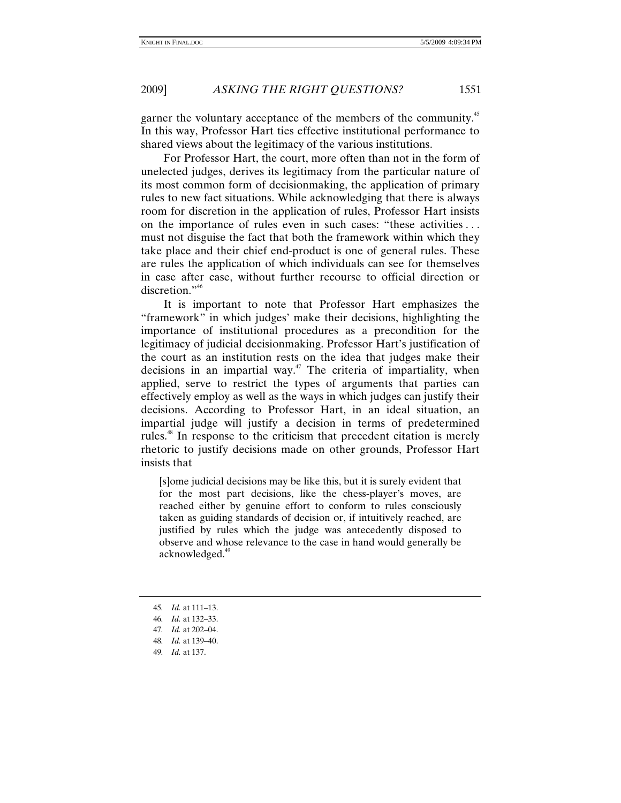garner the voluntary acceptance of the members of the community.<sup>45</sup> In this way, Professor Hart ties effective institutional performance to shared views about the legitimacy of the various institutions.

For Professor Hart, the court, more often than not in the form of unelected judges, derives its legitimacy from the particular nature of its most common form of decisionmaking, the application of primary rules to new fact situations. While acknowledging that there is always room for discretion in the application of rules, Professor Hart insists on the importance of rules even in such cases: "these activities . . . must not disguise the fact that both the framework within which they take place and their chief end-product is one of general rules. These are rules the application of which individuals can see for themselves in case after case, without further recourse to official direction or discretion."<sup>46</sup>

It is important to note that Professor Hart emphasizes the "framework" in which judges' make their decisions, highlighting the importance of institutional procedures as a precondition for the legitimacy of judicial decisionmaking. Professor Hart's justification of the court as an institution rests on the idea that judges make their decisions in an impartial way.<sup> $47$ </sup> The criteria of impartiality, when applied, serve to restrict the types of arguments that parties can effectively employ as well as the ways in which judges can justify their decisions. According to Professor Hart, in an ideal situation, an impartial judge will justify a decision in terms of predetermined rules.48 In response to the criticism that precedent citation is merely rhetoric to justify decisions made on other grounds, Professor Hart insists that

[s]ome judicial decisions may be like this, but it is surely evident that for the most part decisions, like the chess-player's moves, are reached either by genuine effort to conform to rules consciously taken as guiding standards of decision or, if intuitively reached, are justified by rules which the judge was antecedently disposed to observe and whose relevance to the case in hand would generally be acknowledged.<sup>49</sup>

<sup>45</sup>*. Id.* at 111–13.

<sup>46</sup>*. Id.* at 132–33.

<sup>47</sup>*. Id.* at 202–04.

<sup>48</sup>*. Id.* at 139–40.

<sup>49</sup>*. Id.* at 137.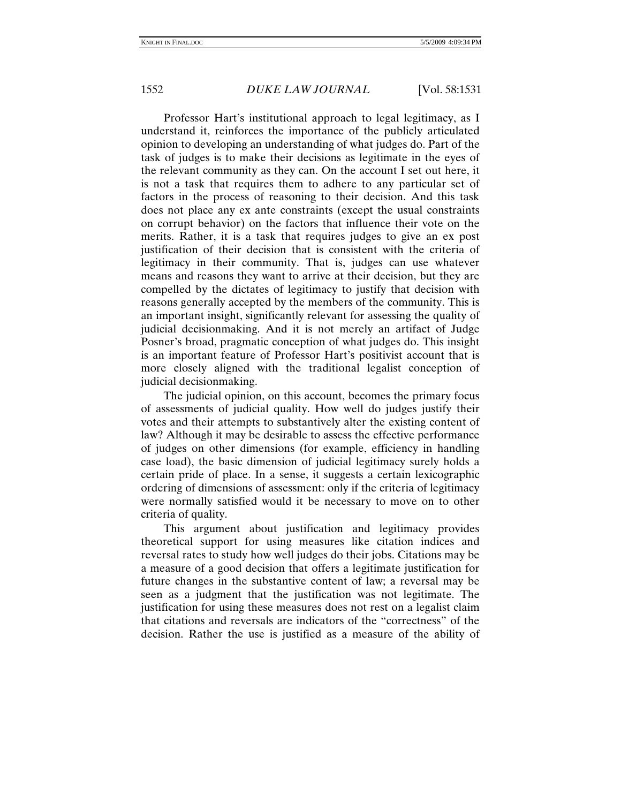Professor Hart's institutional approach to legal legitimacy, as I understand it, reinforces the importance of the publicly articulated opinion to developing an understanding of what judges do. Part of the task of judges is to make their decisions as legitimate in the eyes of the relevant community as they can. On the account I set out here, it is not a task that requires them to adhere to any particular set of factors in the process of reasoning to their decision. And this task does not place any ex ante constraints (except the usual constraints on corrupt behavior) on the factors that influence their vote on the merits. Rather, it is a task that requires judges to give an ex post justification of their decision that is consistent with the criteria of legitimacy in their community. That is, judges can use whatever means and reasons they want to arrive at their decision, but they are compelled by the dictates of legitimacy to justify that decision with reasons generally accepted by the members of the community. This is an important insight, significantly relevant for assessing the quality of judicial decisionmaking. And it is not merely an artifact of Judge Posner's broad, pragmatic conception of what judges do. This insight is an important feature of Professor Hart's positivist account that is more closely aligned with the traditional legalist conception of judicial decisionmaking.

The judicial opinion, on this account, becomes the primary focus of assessments of judicial quality. How well do judges justify their votes and their attempts to substantively alter the existing content of law? Although it may be desirable to assess the effective performance of judges on other dimensions (for example, efficiency in handling case load), the basic dimension of judicial legitimacy surely holds a certain pride of place. In a sense, it suggests a certain lexicographic ordering of dimensions of assessment: only if the criteria of legitimacy were normally satisfied would it be necessary to move on to other criteria of quality.

This argument about justification and legitimacy provides theoretical support for using measures like citation indices and reversal rates to study how well judges do their jobs. Citations may be a measure of a good decision that offers a legitimate justification for future changes in the substantive content of law; a reversal may be seen as a judgment that the justification was not legitimate. The justification for using these measures does not rest on a legalist claim that citations and reversals are indicators of the "correctness" of the decision. Rather the use is justified as a measure of the ability of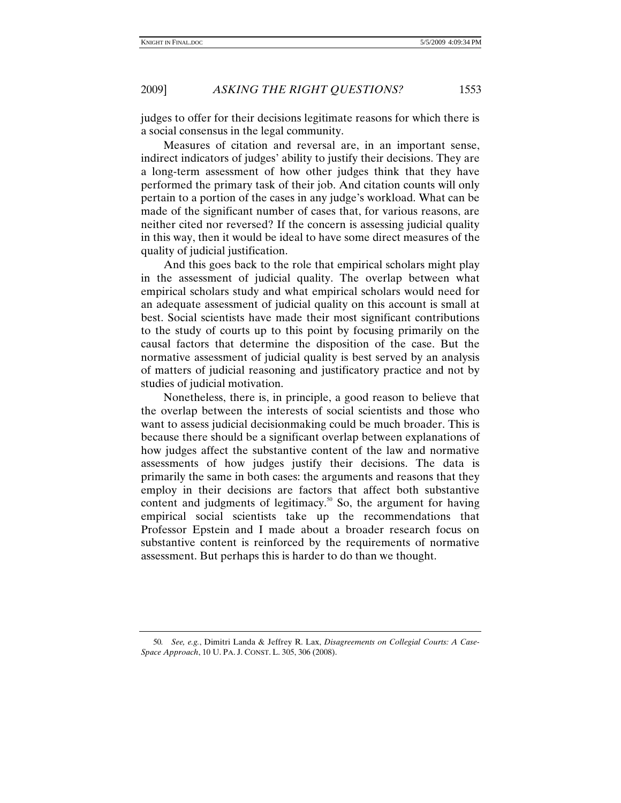judges to offer for their decisions legitimate reasons for which there is a social consensus in the legal community.

Measures of citation and reversal are, in an important sense, indirect indicators of judges' ability to justify their decisions. They are a long-term assessment of how other judges think that they have performed the primary task of their job. And citation counts will only pertain to a portion of the cases in any judge's workload. What can be made of the significant number of cases that, for various reasons, are neither cited nor reversed? If the concern is assessing judicial quality in this way, then it would be ideal to have some direct measures of the quality of judicial justification.

And this goes back to the role that empirical scholars might play in the assessment of judicial quality. The overlap between what empirical scholars study and what empirical scholars would need for an adequate assessment of judicial quality on this account is small at best. Social scientists have made their most significant contributions to the study of courts up to this point by focusing primarily on the causal factors that determine the disposition of the case. But the normative assessment of judicial quality is best served by an analysis of matters of judicial reasoning and justificatory practice and not by studies of judicial motivation.

Nonetheless, there is, in principle, a good reason to believe that the overlap between the interests of social scientists and those who want to assess judicial decisionmaking could be much broader. This is because there should be a significant overlap between explanations of how judges affect the substantive content of the law and normative assessments of how judges justify their decisions. The data is primarily the same in both cases: the arguments and reasons that they employ in their decisions are factors that affect both substantive content and judgments of legitimacy.<sup>50</sup> So, the argument for having empirical social scientists take up the recommendations that Professor Epstein and I made about a broader research focus on substantive content is reinforced by the requirements of normative assessment. But perhaps this is harder to do than we thought.

<sup>50</sup>*. See, e.g.*, Dimitri Landa & Jeffrey R. Lax, *Disagreements on Collegial Courts: A Case-Space Approach*, 10 U. PA. J. CONST. L. 305, 306 (2008).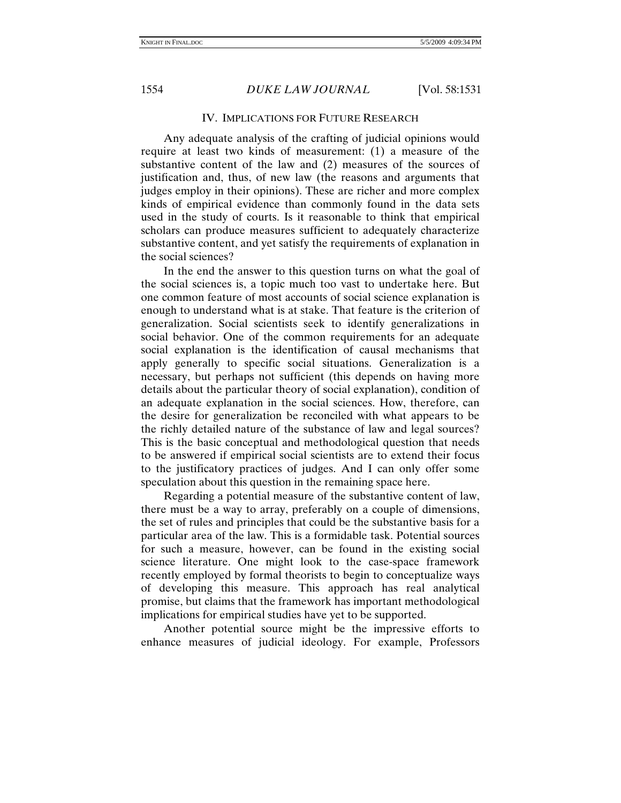### IV. IMPLICATIONS FOR FUTURE RESEARCH

Any adequate analysis of the crafting of judicial opinions would require at least two kinds of measurement: (1) a measure of the substantive content of the law and (2) measures of the sources of justification and, thus, of new law (the reasons and arguments that judges employ in their opinions). These are richer and more complex kinds of empirical evidence than commonly found in the data sets used in the study of courts. Is it reasonable to think that empirical scholars can produce measures sufficient to adequately characterize substantive content, and yet satisfy the requirements of explanation in the social sciences?

In the end the answer to this question turns on what the goal of the social sciences is, a topic much too vast to undertake here. But one common feature of most accounts of social science explanation is enough to understand what is at stake. That feature is the criterion of generalization. Social scientists seek to identify generalizations in social behavior. One of the common requirements for an adequate social explanation is the identification of causal mechanisms that apply generally to specific social situations. Generalization is a necessary, but perhaps not sufficient (this depends on having more details about the particular theory of social explanation), condition of an adequate explanation in the social sciences. How, therefore, can the desire for generalization be reconciled with what appears to be the richly detailed nature of the substance of law and legal sources? This is the basic conceptual and methodological question that needs to be answered if empirical social scientists are to extend their focus to the justificatory practices of judges. And I can only offer some speculation about this question in the remaining space here.

Regarding a potential measure of the substantive content of law, there must be a way to array, preferably on a couple of dimensions, the set of rules and principles that could be the substantive basis for a particular area of the law. This is a formidable task. Potential sources for such a measure, however, can be found in the existing social science literature. One might look to the case-space framework recently employed by formal theorists to begin to conceptualize ways of developing this measure. This approach has real analytical promise, but claims that the framework has important methodological implications for empirical studies have yet to be supported.

Another potential source might be the impressive efforts to enhance measures of judicial ideology. For example, Professors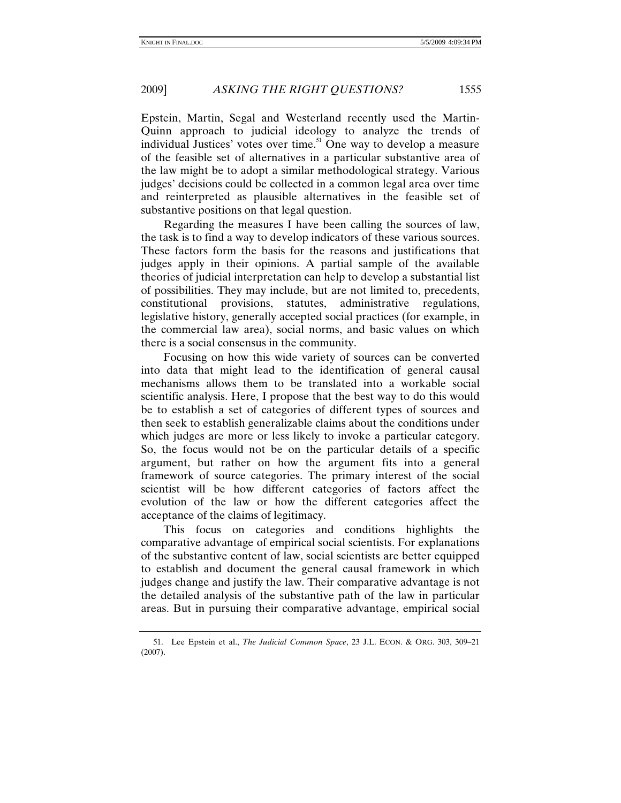Epstein, Martin, Segal and Westerland recently used the Martin-Quinn approach to judicial ideology to analyze the trends of individual Justices' votes over time.<sup>51</sup> One way to develop a measure of the feasible set of alternatives in a particular substantive area of the law might be to adopt a similar methodological strategy. Various judges' decisions could be collected in a common legal area over time and reinterpreted as plausible alternatives in the feasible set of substantive positions on that legal question.

Regarding the measures I have been calling the sources of law, the task is to find a way to develop indicators of these various sources. These factors form the basis for the reasons and justifications that judges apply in their opinions. A partial sample of the available theories of judicial interpretation can help to develop a substantial list of possibilities. They may include, but are not limited to, precedents, constitutional provisions, statutes, administrative regulations, legislative history, generally accepted social practices (for example, in the commercial law area), social norms, and basic values on which there is a social consensus in the community.

Focusing on how this wide variety of sources can be converted into data that might lead to the identification of general causal mechanisms allows them to be translated into a workable social scientific analysis. Here, I propose that the best way to do this would be to establish a set of categories of different types of sources and then seek to establish generalizable claims about the conditions under which judges are more or less likely to invoke a particular category. So, the focus would not be on the particular details of a specific argument, but rather on how the argument fits into a general framework of source categories. The primary interest of the social scientist will be how different categories of factors affect the evolution of the law or how the different categories affect the acceptance of the claims of legitimacy.

This focus on categories and conditions highlights the comparative advantage of empirical social scientists. For explanations of the substantive content of law, social scientists are better equipped to establish and document the general causal framework in which judges change and justify the law. Their comparative advantage is not the detailed analysis of the substantive path of the law in particular areas. But in pursuing their comparative advantage, empirical social

 <sup>51.</sup> Lee Epstein et al., *The Judicial Common Space*, 23 J.L. ECON. & ORG. 303, 309–21 (2007).